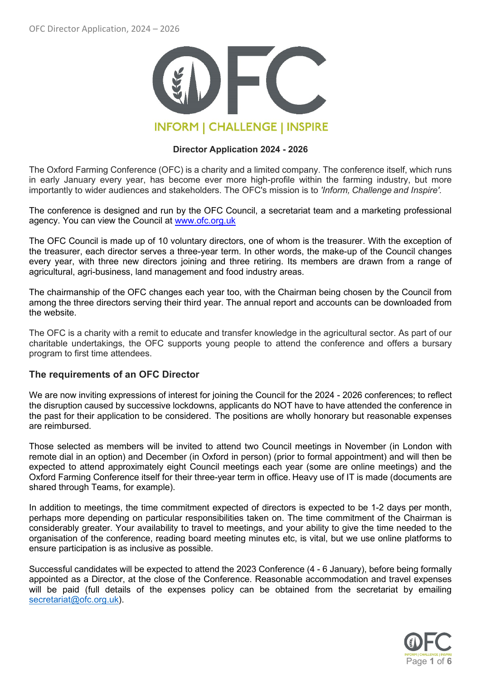

### **Director Application 2024 - 2026**

The Oxford Farming Conference (OFC) is a charity and a limited company. The conference itself, which runs in early January every year, has become ever more high-profile within the farming industry, but more importantly to wider audiences and stakeholders. The OFC's mission is to *'Inform, Challenge and Inspire'.*

The conference is designed and run by the OFC Council, a secretariat team and a marketing professional agency. You can view the Council at [www.ofc.org.uk](http://www.ofc.org.uk/) 

[The OFC Council](https://www.ofc.org.uk/council) is made up of 10 voluntary directors, one of whom is the treasurer. With the exception of the treasurer, each director serves a three-year term. In other words, the make-up of the Council changes every year, with three new directors joining and three retiring. Its members are drawn from a range of agricultural, agri-business, land management and food industry areas.

The chairmanship of the OFC changes each year too, with the Chairman being chosen by the Council from among the three directors serving their third year. The annual report and accounts can be downloaded from the website.

The OFC is a charity with a remit to educate and transfer knowledge in the agricultural sector. As part of our charitable undertakings, the OFC supports young people to attend the conference and offers a bursary program to first time attendees.

# **The requirements of an OFC Director**

We are now inviting expressions of interest for joining the Council for the 2024 - 2026 conferences; to reflect the disruption caused by successive lockdowns, applicants do NOT have to have attended the conference in the past for their application to be considered.  The positions are wholly honorary but reasonable expenses are reimbursed.

Those selected as members will be invited to attend two Council meetings in November (in London with remote dial in an option) and December (in Oxford in person) (prior to formal appointment) and will then be expected to attend approximately eight Council meetings each year (some are online meetings) and the Oxford Farming Conference itself for their three-year term in office. Heavy use of IT is made (documents are shared through Teams, for example).

In addition to meetings, the time commitment expected of directors is expected to be 1-2 days per month, perhaps more depending on particular responsibilities taken on. The time commitment of the Chairman is considerably greater. Your availability to travel to meetings, and your ability to give the time needed to the organisation of the conference, reading board meeting minutes etc, is vital, but we use online platforms to ensure participation is as inclusive as possible.

Successful candidates will be expected to attend the 2023 Conference (4 - 6 January), before being formally appointed as a Director, at the close of the Conference. Reasonable accommodation and travel expenses will be paid (full details of the expenses policy can be obtained from the secretariat by emailing [secretariat@ofc.org.uk\)](mailto:secretariat@ofc.org.uk).

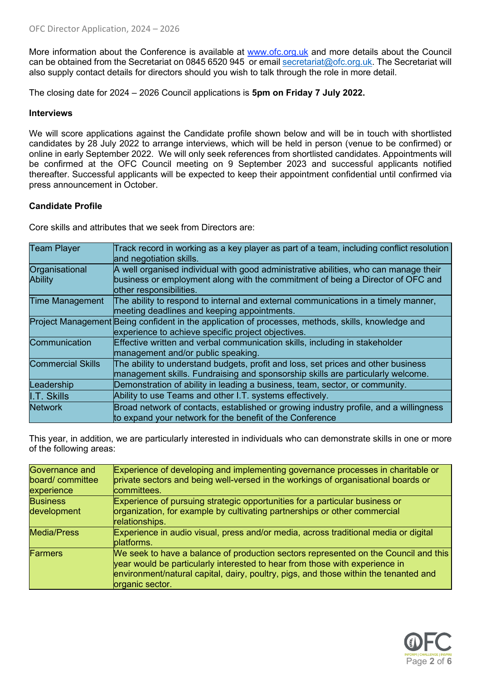More information about the Conference is available at [www.ofc.org.uk](http://www.ofc.org.uk/) and more details about the Council can be obtained from the Secretariat on 0845 6520 945 or email [secretariat@ofc.org.uk.](mailto:secretariat@ofc.org.uk) The Secretariat will also supply contact details for directors should you wish to talk through the role in more detail. 

The closing date for 2024 – 2026 Council applications is **5pm on Friday 7 July 2022.**

#### **Interviews**

We will score applications against the Candidate profile shown below and will be in touch with shortlisted candidates by 28 July 2022 to arrange interviews, which will be held in person (venue to be confirmed) or online in early September 2022. We will only seek references from shortlisted candidates. Appointments will be confirmed at the OFC Council meeting on 9 September 2023 and successful applicants notified thereafter. Successful applicants will be expected to keep their appointment confidential until confirmed via press announcement in October.

# **Candidate Profile**

Core skills and attributes that we seek from Directors are:

| <b>Team Player</b>               | Track record in working as a key player as part of a team, including conflict resolution<br>and negotiation skills.                                                                                |
|----------------------------------|----------------------------------------------------------------------------------------------------------------------------------------------------------------------------------------------------|
| Organisational<br><b>Ability</b> | A well organised individual with good administrative abilities, who can manage their<br>business or employment along with the commitment of being a Director of OFC and<br>other responsibilities. |
| <b>Time Management</b>           | The ability to respond to internal and external communications in a timely manner,<br>meeting deadlines and keeping appointments.                                                                  |
|                                  | Project Management Being confident in the application of processes, methods, skills, knowledge and<br>experience to achieve specific project objectives.                                           |
| Communication                    | Effective written and verbal communication skills, including in stakeholder<br>management and/or public speaking.                                                                                  |
| <b>Commercial Skills</b>         | The ability to understand budgets, profit and loss, set prices and other business<br>management skills. Fundraising and sponsorship skills are particularly welcome.                               |
| Leadership                       | Demonstration of ability in leading a business, team, sector, or community.                                                                                                                        |
| I.T. Skills                      | Ability to use Teams and other I.T. systems effectively.                                                                                                                                           |
| <b>Network</b>                   | Broad network of contacts, established or growing industry profile, and a willingness<br>to expand your network for the benefit of the Conference                                                  |

This year, in addition, we are particularly interested in individuals who can demonstrate skills in one or more of the following areas: 

| Governance and<br>board/committee<br>experience | Experience of developing and implementing governance processes in charitable or<br>private sectors and being well-versed in the workings of organisational boards or<br>committees.                                                                                           |
|-------------------------------------------------|-------------------------------------------------------------------------------------------------------------------------------------------------------------------------------------------------------------------------------------------------------------------------------|
| <b>Business</b><br>development                  | Experience of pursuing strategic opportunities for a particular business or<br>organization, for example by cultivating partnerships or other commercial<br>relationships.                                                                                                    |
| <b>Media/Press</b>                              | Experience in audio visual, press and/or media, across traditional media or digital<br>platforms.                                                                                                                                                                             |
| <b>Farmers</b>                                  | We seek to have a balance of production sectors represented on the Council and this<br>year would be particularly interested to hear from those with experience in<br>environment/natural capital, dairy, poultry, pigs, and those within the tenanted and<br>organic sector. |

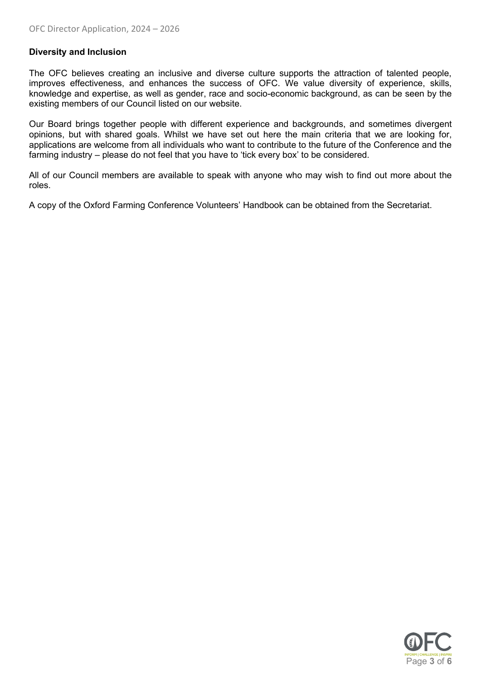# **Diversity and Inclusion**

The OFC believes creating an inclusive and diverse culture supports the attraction of talented people, improves effectiveness, and enhances the success of OFC. We value diversity of experience, skills, knowledge and expertise, as well as gender, race and socio-economic background, as can be seen by the existing members of our Council listed on our website.

Our Board brings together people with different experience and backgrounds, and sometimes divergent opinions, but with shared goals. Whilst we have set out here the main criteria that we are looking for, applications are welcome from all individuals who want to contribute to the future of the Conference and the farming industry – please do not feel that you have to 'tick every box' to be considered.

All of our Council members are available to speak with anyone who may wish to find out more about the roles.

A copy of the Oxford Farming Conference Volunteers' Handbook can be obtained from the Secretariat.

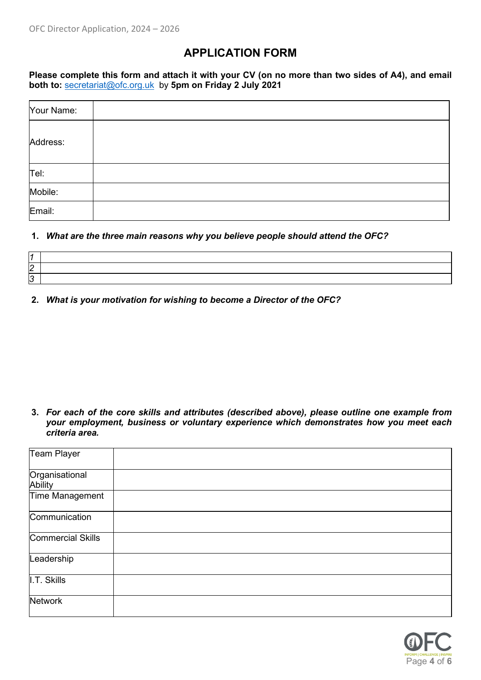# **APPLICATION FORM**

**Please complete this form and attach it with your CV (on no more than two sides of A4), and email both to:** [secretariat@ofc.org.uk](mailto:secretariat@ofc.org.uk) by **5pm on Friday 2 July 2021**

| Your Name: |  |
|------------|--|
| Address:   |  |
| Tel:       |  |
| Mobile:    |  |
| Email:     |  |

### **1.** *What are the three main reasons why you believe people should attend the OFC?*

| 2 |  |
|---|--|
|   |  |
|   |  |
| 3 |  |

**2.** *What is your motivation for wishing to become a Director of the OFC?*

**3.** *For each of the core skills and attributes (described above), please outline one example from your employment, business or voluntary experience which demonstrates how you meet each criteria area.*

| <b>Team Player</b>        |  |
|---------------------------|--|
| Organisational<br>Ability |  |
| Time Management           |  |
| Communication             |  |
| <b>Commercial Skills</b>  |  |
| Leadership                |  |
| $\parallel$ .T. Skills    |  |
| <b>Network</b>            |  |

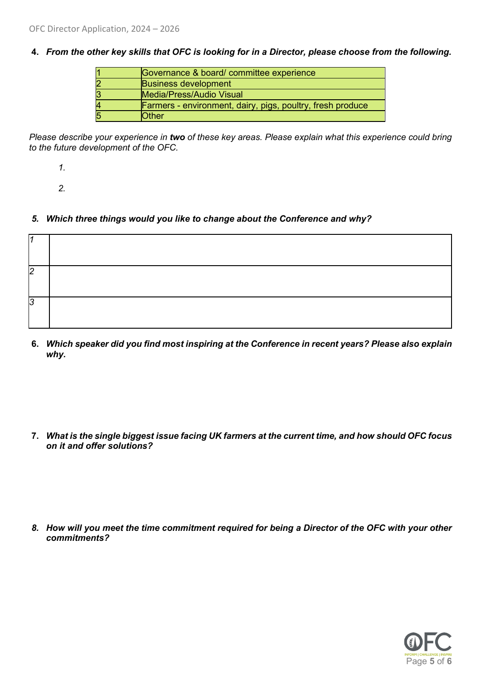**4.** *From the other key skills that OFC is looking for in a Director, please choose from the following.*

|   | Governance & board/committee experience                           |
|---|-------------------------------------------------------------------|
| 2 | <b>Business development</b>                                       |
| З | Media/Press/Audio Visual                                          |
| 4 | <b>Farmers</b> - environment, dairy, pigs, poultry, fresh produce |
| 5 | <b>Other</b>                                                      |

*Please describe your experience in two of these key areas. Please explain what this experience could bring to the future development of the OFC.*

*1.*

*2.*

*5. Which three things would you like to change about the Conference and why?*

| 12        |  |
|-----------|--|
| - נ<br>ı. |  |

**6.** *Which speaker did you find most inspiring at the Conference in recent years? Please also explain why.*

**7.** *What is the single biggest issue facing UK farmers at the current time, and how should OFC focus on it and offer solutions?* 

*8. How will you meet the time commitment required for being a Director of the OFC with your other commitments?*